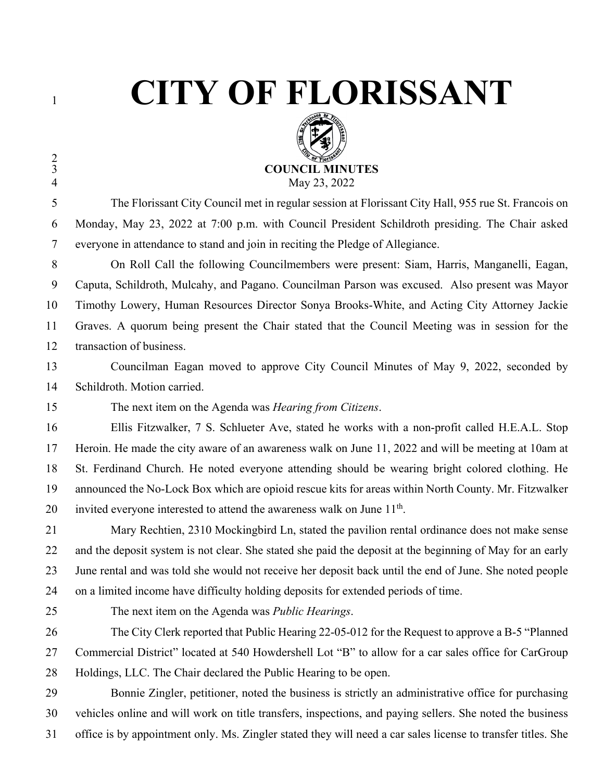$\frac{2}{3}$ 

## **CITY OF FLORISSANT**



 The Florissant City Council met in regular session at Florissant City Hall, 955 rue St. Francois on Monday, May 23, 2022 at 7:00 p.m. with Council President Schildroth presiding. The Chair asked everyone in attendance to stand and join in reciting the Pledge of Allegiance.

 On Roll Call the following Councilmembers were present: Siam, Harris, Manganelli, Eagan, Caputa, Schildroth, Mulcahy, and Pagano. Councilman Parson was excused. Also present was Mayor Timothy Lowery, Human Resources Director Sonya Brooks-White, and Acting City Attorney Jackie Graves. A quorum being present the Chair stated that the Council Meeting was in session for the transaction of business.

 Councilman Eagan moved to approve City Council Minutes of May 9, 2022, seconded by Schildroth. Motion carried.

The next item on the Agenda was *Hearing from Citizens*.

 Ellis Fitzwalker, 7 S. Schlueter Ave, stated he works with a non-profit called H.E.A.L. Stop Heroin. He made the city aware of an awareness walk on June 11, 2022 and will be meeting at 10am at St. Ferdinand Church. He noted everyone attending should be wearing bright colored clothing. He announced the No-Lock Box which are opioid rescue kits for areas within North County. Mr. Fitzwalker 20 invited everyone interested to attend the awareness walk on June  $11<sup>th</sup>$ .

 Mary Rechtien, 2310 Mockingbird Ln, stated the pavilion rental ordinance does not make sense and the deposit system is not clear. She stated she paid the deposit at the beginning of May for an early June rental and was told she would not receive her deposit back until the end of June. She noted people on a limited income have difficulty holding deposits for extended periods of time.

The next item on the Agenda was *Public Hearings*.

 The City Clerk reported that Public Hearing 22-05-012 for the Request to approve a B-5 "Planned Commercial District" located at 540 Howdershell Lot "B" to allow for a car sales office for CarGroup Holdings, LLC. The Chair declared the Public Hearing to be open.

 Bonnie Zingler, petitioner, noted the business is strictly an administrative office for purchasing vehicles online and will work on title transfers, inspections, and paying sellers. She noted the business office is by appointment only. Ms. Zingler stated they will need a car sales license to transfer titles. She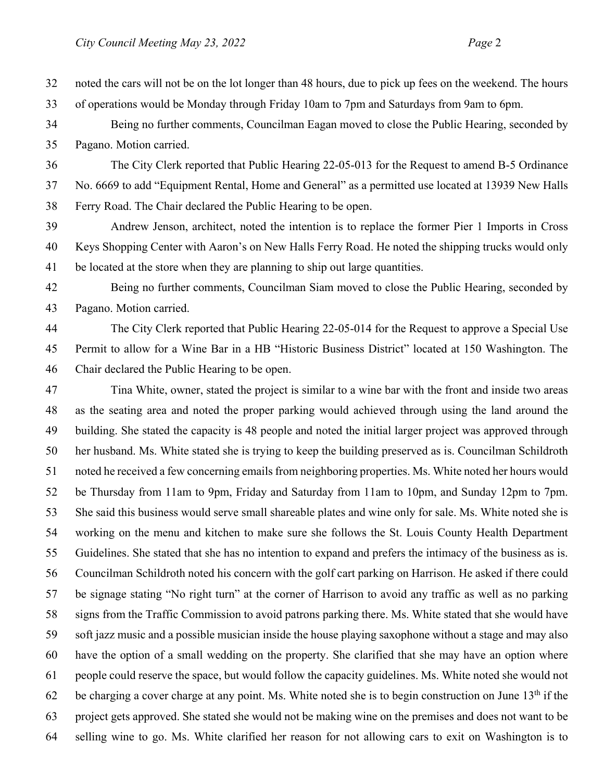noted the cars will not be on the lot longer than 48 hours, due to pick up fees on the weekend. The hours of operations would be Monday through Friday 10am to 7pm and Saturdays from 9am to 6pm.

 Being no further comments, Councilman Eagan moved to close the Public Hearing, seconded by Pagano. Motion carried.

 The City Clerk reported that Public Hearing 22-05-013 for the Request to amend B-5 Ordinance No. 6669 to add "Equipment Rental, Home and General" as a permitted use located at 13939 New Halls Ferry Road. The Chair declared the Public Hearing to be open.

 Andrew Jenson, architect, noted the intention is to replace the former Pier 1 Imports in Cross Keys Shopping Center with Aaron's on New Halls Ferry Road. He noted the shipping trucks would only be located at the store when they are planning to ship out large quantities.

 Being no further comments, Councilman Siam moved to close the Public Hearing, seconded by Pagano. Motion carried.

 The City Clerk reported that Public Hearing 22-05-014 for the Request to approve a Special Use Permit to allow for a Wine Bar in a HB "Historic Business District" located at 150 Washington. The Chair declared the Public Hearing to be open.

 Tina White, owner, stated the project is similar to a wine bar with the front and inside two areas as the seating area and noted the proper parking would achieved through using the land around the building. She stated the capacity is 48 people and noted the initial larger project was approved through her husband. Ms. White stated she is trying to keep the building preserved as is. Councilman Schildroth noted he received a few concerning emails from neighboring properties. Ms. White noted her hours would be Thursday from 11am to 9pm, Friday and Saturday from 11am to 10pm, and Sunday 12pm to 7pm. She said this business would serve small shareable plates and wine only for sale. Ms. White noted she is working on the menu and kitchen to make sure she follows the St. Louis County Health Department Guidelines. She stated that she has no intention to expand and prefers the intimacy of the business as is. Councilman Schildroth noted his concern with the golf cart parking on Harrison. He asked if there could be signage stating "No right turn" at the corner of Harrison to avoid any traffic as well as no parking signs from the Traffic Commission to avoid patrons parking there. Ms. White stated that she would have soft jazz music and a possible musician inside the house playing saxophone without a stage and may also have the option of a small wedding on the property. She clarified that she may have an option where people could reserve the space, but would follow the capacity guidelines. Ms. White noted she would not 62 be charging a cover charge at any point. Ms. White noted she is to begin construction on June  $13<sup>th</sup>$  if the project gets approved. She stated she would not be making wine on the premises and does not want to be selling wine to go. Ms. White clarified her reason for not allowing cars to exit on Washington is to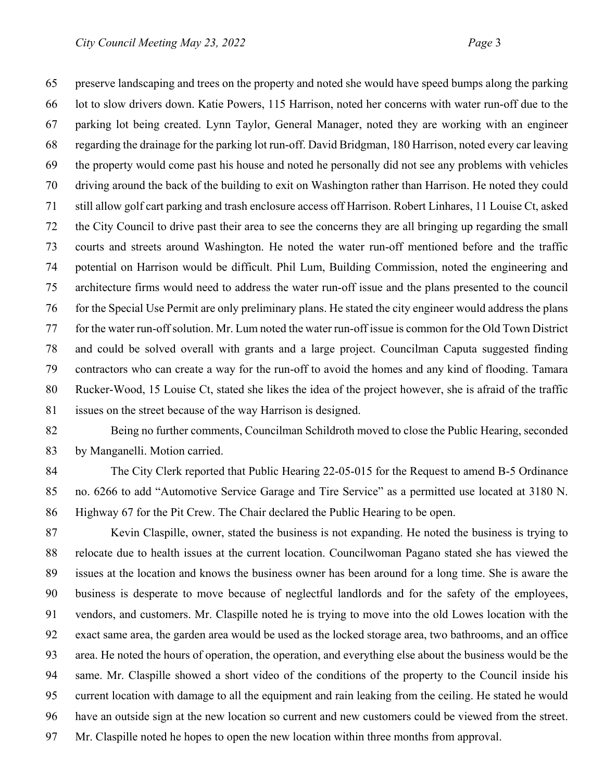preserve landscaping and trees on the property and noted she would have speed bumps along the parking lot to slow drivers down. Katie Powers, 115 Harrison, noted her concerns with water run-off due to the parking lot being created. Lynn Taylor, General Manager, noted they are working with an engineer regarding the drainage for the parking lot run-off. David Bridgman, 180 Harrison, noted every car leaving the property would come past his house and noted he personally did not see any problems with vehicles driving around the back of the building to exit on Washington rather than Harrison. He noted they could still allow golf cart parking and trash enclosure access off Harrison. Robert Linhares, 11 Louise Ct, asked the City Council to drive past their area to see the concerns they are all bringing up regarding the small courts and streets around Washington. He noted the water run-off mentioned before and the traffic potential on Harrison would be difficult. Phil Lum, Building Commission, noted the engineering and architecture firms would need to address the water run-off issue and the plans presented to the council for the Special Use Permit are only preliminary plans. He stated the city engineer would address the plans for the water run-off solution. Mr. Lum noted the water run-off issue is common for the Old Town District and could be solved overall with grants and a large project. Councilman Caputa suggested finding contractors who can create a way for the run-off to avoid the homes and any kind of flooding. Tamara Rucker-Wood, 15 Louise Ct, stated she likes the idea of the project however, she is afraid of the traffic issues on the street because of the way Harrison is designed.

 Being no further comments, Councilman Schildroth moved to close the Public Hearing, seconded by Manganelli. Motion carried.

 The City Clerk reported that Public Hearing 22-05-015 for the Request to amend B-5 Ordinance no. 6266 to add "Automotive Service Garage and Tire Service" as a permitted use located at 3180 N. Highway 67 for the Pit Crew. The Chair declared the Public Hearing to be open.

 Kevin Claspille, owner, stated the business is not expanding. He noted the business is trying to relocate due to health issues at the current location. Councilwoman Pagano stated she has viewed the issues at the location and knows the business owner has been around for a long time. She is aware the business is desperate to move because of neglectful landlords and for the safety of the employees, vendors, and customers. Mr. Claspille noted he is trying to move into the old Lowes location with the exact same area, the garden area would be used as the locked storage area, two bathrooms, and an office area. He noted the hours of operation, the operation, and everything else about the business would be the same. Mr. Claspille showed a short video of the conditions of the property to the Council inside his current location with damage to all the equipment and rain leaking from the ceiling. He stated he would have an outside sign at the new location so current and new customers could be viewed from the street. Mr. Claspille noted he hopes to open the new location within three months from approval.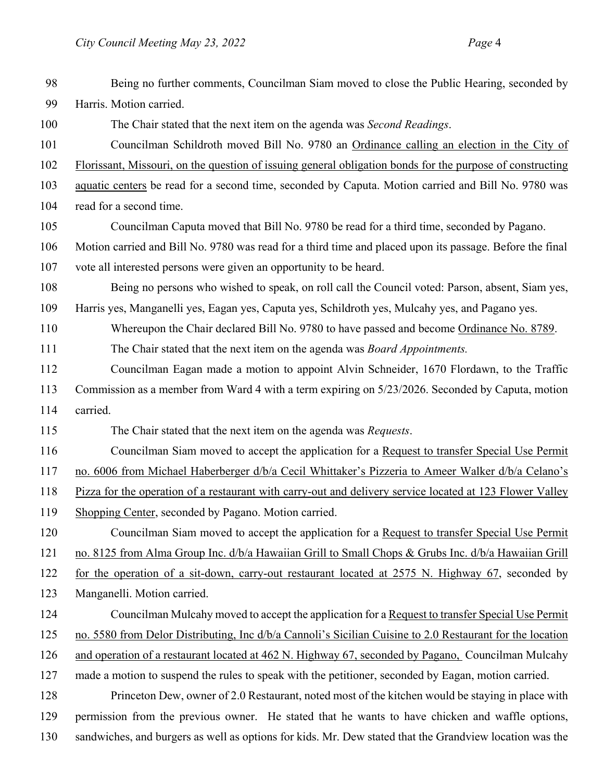| 98  | Being no further comments, Councilman Siam moved to close the Public Hearing, seconded by                 |
|-----|-----------------------------------------------------------------------------------------------------------|
| 99  | Harris. Motion carried.                                                                                   |
| 100 | The Chair stated that the next item on the agenda was Second Readings.                                    |
| 101 | Councilman Schildroth moved Bill No. 9780 an Ordinance calling an election in the City of                 |
| 102 | Florissant, Missouri, on the question of issuing general obligation bonds for the purpose of constructing |
| 103 | aquatic centers be read for a second time, seconded by Caputa. Motion carried and Bill No. 9780 was       |
| 104 | read for a second time.                                                                                   |
| 105 | Councilman Caputa moved that Bill No. 9780 be read for a third time, seconded by Pagano.                  |
| 106 | Motion carried and Bill No. 9780 was read for a third time and placed upon its passage. Before the final  |
| 107 | vote all interested persons were given an opportunity to be heard.                                        |
| 108 | Being no persons who wished to speak, on roll call the Council voted: Parson, absent, Siam yes,           |
| 109 | Harris yes, Manganelli yes, Eagan yes, Caputa yes, Schildroth yes, Mulcahy yes, and Pagano yes.           |
| 110 | Whereupon the Chair declared Bill No. 9780 to have passed and become Ordinance No. 8789.                  |
| 111 | The Chair stated that the next item on the agenda was <i>Board Appointments</i> .                         |
| 112 | Councilman Eagan made a motion to appoint Alvin Schneider, 1670 Flordawn, to the Traffic                  |
| 113 | Commission as a member from Ward 4 with a term expiring on 5/23/2026. Seconded by Caputa, motion          |
| 114 | carried.                                                                                                  |
| 115 | The Chair stated that the next item on the agenda was Requests.                                           |
| 116 | Councilman Siam moved to accept the application for a Request to transfer Special Use Permit              |
| 117 | no. 6006 from Michael Haberberger d/b/a Cecil Whittaker's Pizzeria to Ameer Walker d/b/a Celano's         |
| 118 | Pizza for the operation of a restaurant with carry-out and delivery service located at 123 Flower Valley  |
| 119 | Shopping Center, seconded by Pagano. Motion carried.                                                      |
| 120 | Councilman Siam moved to accept the application for a Request to transfer Special Use Permit              |
| 121 | no. 8125 from Alma Group Inc. d/b/a Hawaiian Grill to Small Chops & Grubs Inc. d/b/a Hawaiian Grill       |
| 122 | for the operation of a sit-down, carry-out restaurant located at 2575 N. Highway 67, seconded by          |
| 123 | Manganelli. Motion carried.                                                                               |
| 124 | Councilman Mulcahy moved to accept the application for a Request to transfer Special Use Permit           |
| 125 | no. 5580 from Delor Distributing, Inc d/b/a Cannoli's Sicilian Cuisine to 2.0 Restaurant for the location |
| 126 | and operation of a restaurant located at 462 N. Highway 67, seconded by Pagano, Councilman Mulcahy        |
| 127 | made a motion to suspend the rules to speak with the petitioner, seconded by Eagan, motion carried.       |
| 128 | Princeton Dew, owner of 2.0 Restaurant, noted most of the kitchen would be staying in place with          |
| 129 |                                                                                                           |
|     | permission from the previous owner. He stated that he wants to have chicken and waffle options,           |
| 130 | sandwiches, and burgers as well as options for kids. Mr. Dew stated that the Grandview location was the   |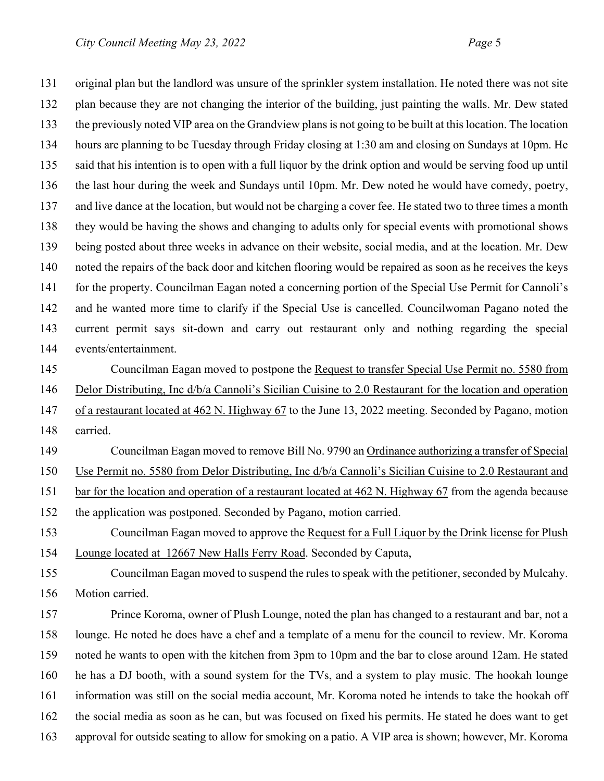original plan but the landlord was unsure of the sprinkler system installation. He noted there was not site plan because they are not changing the interior of the building, just painting the walls. Mr. Dew stated the previously noted VIP area on the Grandview plans is not going to be built at this location. The location hours are planning to be Tuesday through Friday closing at 1:30 am and closing on Sundays at 10pm. He said that his intention is to open with a full liquor by the drink option and would be serving food up until the last hour during the week and Sundays until 10pm. Mr. Dew noted he would have comedy, poetry, 137 and live dance at the location, but would not be charging a cover fee. He stated two to three times a month they would be having the shows and changing to adults only for special events with promotional shows being posted about three weeks in advance on their website, social media, and at the location. Mr. Dew noted the repairs of the back door and kitchen flooring would be repaired as soon as he receives the keys 141 for the property. Councilman Eagan noted a concerning portion of the Special Use Permit for Cannoli's and he wanted more time to clarify if the Special Use is cancelled. Councilwoman Pagano noted the current permit says sit-down and carry out restaurant only and nothing regarding the special events/entertainment. Councilman Eagan moved to postpone the Request to transfer Special Use Permit no. 5580 from Delor Distributing, Inc d/b/a Cannoli's Sicilian Cuisine to 2.0 Restaurant for the location and operation of a restaurant located at 462 N. Highway 67 to the June 13, 2022 meeting. Seconded by Pagano, motion carried. Councilman Eagan moved to remove Bill No. 9790 an Ordinance authorizing a transfer of Special Use Permit no. 5580 from Delor Distributing, Inc d/b/a Cannoli's Sicilian Cuisine to 2.0 Restaurant and

bar for the location and operation of a restaurant located at 462 N. Highway 67 from the agenda because

the application was postponed. Seconded by Pagano, motion carried.

 Councilman Eagan moved to approve the Request for a Full Liquor by the Drink license for Plush Lounge located at 12667 New Halls Ferry Road. Seconded by Caputa,

 Councilman Eagan moved to suspend the rules to speak with the petitioner, seconded by Mulcahy. Motion carried.

 Prince Koroma, owner of Plush Lounge, noted the plan has changed to a restaurant and bar, not a lounge. He noted he does have a chef and a template of a menu for the council to review. Mr. Koroma noted he wants to open with the kitchen from 3pm to 10pm and the bar to close around 12am. He stated he has a DJ booth, with a sound system for the TVs, and a system to play music. The hookah lounge information was still on the social media account, Mr. Koroma noted he intends to take the hookah off the social media as soon as he can, but was focused on fixed his permits. He stated he does want to get approval for outside seating to allow for smoking on a patio. A VIP area is shown; however, Mr. Koroma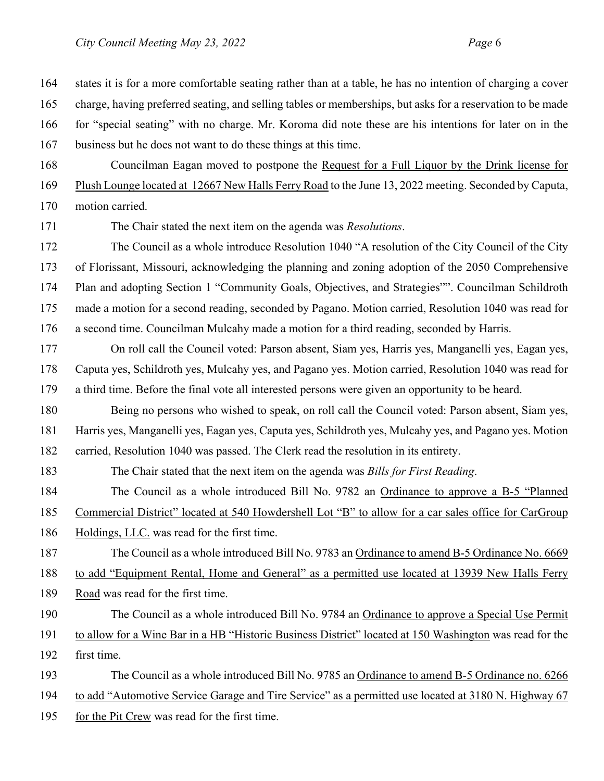| 164 | states it is for a more comfortable seating rather than at a table, he has no intention of charging a cover |  |  |
|-----|-------------------------------------------------------------------------------------------------------------|--|--|
| 165 | charge, having preferred seating, and selling tables or memberships, but asks for a reservation to be made  |  |  |
| 166 | for "special seating" with no charge. Mr. Koroma did note these are his intentions for later on in the      |  |  |
| 167 | business but he does not want to do these things at this time.                                              |  |  |
| 168 | Councilman Eagan moved to postpone the Request for a Full Liquor by the Drink license for                   |  |  |
| 169 | Plush Lounge located at 12667 New Halls Ferry Road to the June 13, 2022 meeting. Seconded by Caputa,        |  |  |
| 170 | motion carried.                                                                                             |  |  |
| 171 | The Chair stated the next item on the agenda was Resolutions.                                               |  |  |
| 172 | The Council as a whole introduce Resolution 1040 "A resolution of the City Council of the City              |  |  |
| 173 | of Florissant, Missouri, acknowledging the planning and zoning adoption of the 2050 Comprehensive           |  |  |
| 174 | Plan and adopting Section 1 "Community Goals, Objectives, and Strategies"". Councilman Schildroth           |  |  |
| 175 | made a motion for a second reading, seconded by Pagano. Motion carried, Resolution 1040 was read for        |  |  |
| 176 | a second time. Councilman Mulcahy made a motion for a third reading, seconded by Harris.                    |  |  |
| 177 | On roll call the Council voted: Parson absent, Siam yes, Harris yes, Manganelli yes, Eagan yes,             |  |  |
| 178 | Caputa yes, Schildroth yes, Mulcahy yes, and Pagano yes. Motion carried, Resolution 1040 was read for       |  |  |
| 179 | a third time. Before the final vote all interested persons were given an opportunity to be heard.           |  |  |
| 180 | Being no persons who wished to speak, on roll call the Council voted: Parson absent, Siam yes,              |  |  |
| 181 | Harris yes, Manganelli yes, Eagan yes, Caputa yes, Schildroth yes, Mulcahy yes, and Pagano yes. Motion      |  |  |
| 182 | carried, Resolution 1040 was passed. The Clerk read the resolution in its entirety.                         |  |  |
| 183 | The Chair stated that the next item on the agenda was Bills for First Reading.                              |  |  |
| 184 | The Council as a whole introduced Bill No. 9782 an Ordinance to approve a B-5 "Planned"                     |  |  |
| 185 | Commercial District" located at 540 Howdershell Lot "B" to allow for a car sales office for CarGroup        |  |  |
| 186 | Holdings, LLC. was read for the first time.                                                                 |  |  |
| 187 | The Council as a whole introduced Bill No. 9783 an Ordinance to amend B-5 Ordinance No. 6669                |  |  |
| 188 | to add "Equipment Rental, Home and General" as a permitted use located at 13939 New Halls Ferry             |  |  |
| 189 | Road was read for the first time.                                                                           |  |  |
| 190 | The Council as a whole introduced Bill No. 9784 an Ordinance to approve a Special Use Permit                |  |  |
| 191 | to allow for a Wine Bar in a HB "Historic Business District" located at 150 Washington was read for the     |  |  |
| 192 | first time.                                                                                                 |  |  |
| 193 | The Council as a whole introduced Bill No. 9785 an Ordinance to amend B-5 Ordinance no. 6266                |  |  |
| 194 | to add "Automotive Service Garage and Tire Service" as a permitted use located at 3180 N. Highway 67        |  |  |
| 195 | for the Pit Crew was read for the first time.                                                               |  |  |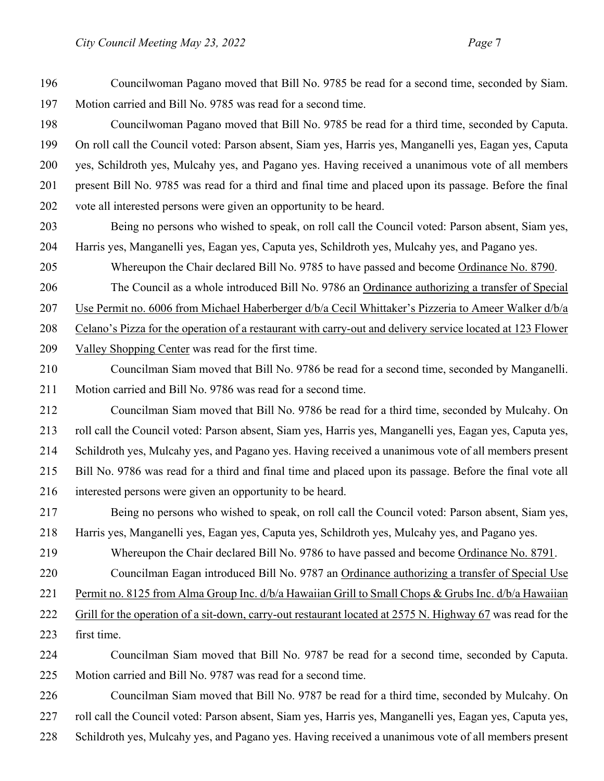Councilwoman Pagano moved that Bill No. 9785 be read for a second time, seconded by Siam. Motion carried and Bill No. 9785 was read for a second time.

- Councilwoman Pagano moved that Bill No. 9785 be read for a third time, seconded by Caputa. On roll call the Council voted: Parson absent, Siam yes, Harris yes, Manganelli yes, Eagan yes, Caputa yes, Schildroth yes, Mulcahy yes, and Pagano yes. Having received a unanimous vote of all members present Bill No. 9785 was read for a third and final time and placed upon its passage. Before the final vote all interested persons were given an opportunity to be heard.
- Being no persons who wished to speak, on roll call the Council voted: Parson absent, Siam yes, Harris yes, Manganelli yes, Eagan yes, Caputa yes, Schildroth yes, Mulcahy yes, and Pagano yes.
- Whereupon the Chair declared Bill No. 9785 to have passed and become Ordinance No. 8790.

The Council as a whole introduced Bill No. 9786 an Ordinance authorizing a transfer of Special

Use Permit no. 6006 from Michael Haberberger d/b/a Cecil Whittaker's Pizzeria to Ameer Walker d/b/a

Celano's Pizza for the operation of a restaurant with carry-out and delivery service located at 123 Flower

- Valley Shopping Center was read for the first time.
- Councilman Siam moved that Bill No. 9786 be read for a second time, seconded by Manganelli. Motion carried and Bill No. 9786 was read for a second time.
- Councilman Siam moved that Bill No. 9786 be read for a third time, seconded by Mulcahy. On roll call the Council voted: Parson absent, Siam yes, Harris yes, Manganelli yes, Eagan yes, Caputa yes, Schildroth yes, Mulcahy yes, and Pagano yes. Having received a unanimous vote of all members present Bill No. 9786 was read for a third and final time and placed upon its passage. Before the final vote all interested persons were given an opportunity to be heard.
- Being no persons who wished to speak, on roll call the Council voted: Parson absent, Siam yes, Harris yes, Manganelli yes, Eagan yes, Caputa yes, Schildroth yes, Mulcahy yes, and Pagano yes.
- 219 Whereupon the Chair declared Bill No. 9786 to have passed and become Ordinance No. 8791.

Councilman Eagan introduced Bill No. 9787 an Ordinance authorizing a transfer of Special Use

- 221 Permit no. 8125 from Alma Group Inc. d/b/a Hawaiian Grill to Small Chops & Grubs Inc. d/b/a Hawaiian
- Grill for the operation of a sit-down, carry-out restaurant located at 2575 N. Highway 67 was read for the first time.
- Councilman Siam moved that Bill No. 9787 be read for a second time, seconded by Caputa. Motion carried and Bill No. 9787 was read for a second time.
- Councilman Siam moved that Bill No. 9787 be read for a third time, seconded by Mulcahy. On roll call the Council voted: Parson absent, Siam yes, Harris yes, Manganelli yes, Eagan yes, Caputa yes,
- Schildroth yes, Mulcahy yes, and Pagano yes. Having received a unanimous vote of all members present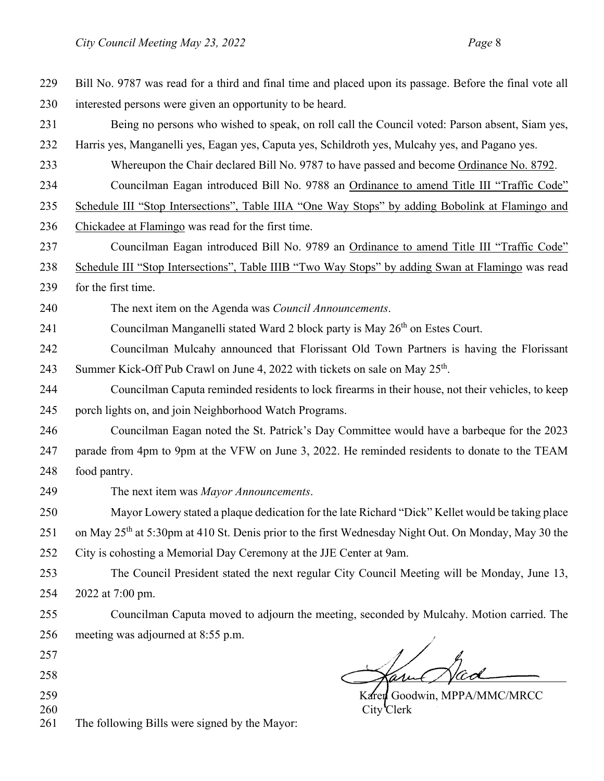| 229        | Bill No. 9787 was read for a third and final time and placed upon its passage. Before the final vote all         |  |  |
|------------|------------------------------------------------------------------------------------------------------------------|--|--|
| 230        | interested persons were given an opportunity to be heard.                                                        |  |  |
| 231        | Being no persons who wished to speak, on roll call the Council voted: Parson absent, Siam yes,                   |  |  |
| 232        | Harris yes, Manganelli yes, Eagan yes, Caputa yes, Schildroth yes, Mulcahy yes, and Pagano yes.                  |  |  |
| 233        | Whereupon the Chair declared Bill No. 9787 to have passed and become Ordinance No. 8792.                         |  |  |
| 234        | Councilman Eagan introduced Bill No. 9788 an Ordinance to amend Title III "Traffic Code"                         |  |  |
| 235        | Schedule III "Stop Intersections", Table IIIA "One Way Stops" by adding Bobolink at Flamingo and                 |  |  |
| 236        | Chickadee at Flamingo was read for the first time.                                                               |  |  |
| 237        | Councilman Eagan introduced Bill No. 9789 an Ordinance to amend Title III "Traffic Code"                         |  |  |
| 238        | Schedule III "Stop Intersections", Table IIIB "Two Way Stops" by adding Swan at Flamingo was read                |  |  |
| 239        | for the first time.                                                                                              |  |  |
| 240        | The next item on the Agenda was Council Announcements.                                                           |  |  |
| 241        | Councilman Manganelli stated Ward 2 block party is May 26 <sup>th</sup> on Estes Court.                          |  |  |
| 242        | Councilman Mulcahy announced that Florissant Old Town Partners is having the Florissant                          |  |  |
| 243        | Summer Kick-Off Pub Crawl on June 4, 2022 with tickets on sale on May 25 <sup>th</sup> .                         |  |  |
| 244        | Councilman Caputa reminded residents to lock firearms in their house, not their vehicles, to keep                |  |  |
| 245        | porch lights on, and join Neighborhood Watch Programs.                                                           |  |  |
| 246        | Councilman Eagan noted the St. Patrick's Day Committee would have a barbeque for the 2023                        |  |  |
| 247        | parade from 4pm to 9pm at the VFW on June 3, 2022. He reminded residents to donate to the TEAM                   |  |  |
| 248        | food pantry.                                                                                                     |  |  |
| 249        | The next item was Mayor Announcements.                                                                           |  |  |
| 250        | Mayor Lowery stated a plaque dedication for the late Richard "Dick" Kellet would be taking place                 |  |  |
| 251        | on May 25 <sup>th</sup> at 5:30pm at 410 St. Denis prior to the first Wednesday Night Out. On Monday, May 30 the |  |  |
| 252        | City is cohosting a Memorial Day Ceremony at the JJE Center at 9am.                                              |  |  |
| 253        | The Council President stated the next regular City Council Meeting will be Monday, June 13,                      |  |  |
| 254        | 2022 at 7:00 pm.                                                                                                 |  |  |
| 255        | Councilman Caputa moved to adjourn the meeting, seconded by Mulcahy. Motion carried. The                         |  |  |
| 256        | meeting was adjourned at 8:55 p.m.                                                                               |  |  |
| 257        |                                                                                                                  |  |  |
| 258        |                                                                                                                  |  |  |
| 259        | Karen Goodwin, MPPA/MMC/MRCC                                                                                     |  |  |
| 260<br>261 | City Clerk<br>The following Bills were signed by the Mayor:                                                      |  |  |
|            |                                                                                                                  |  |  |